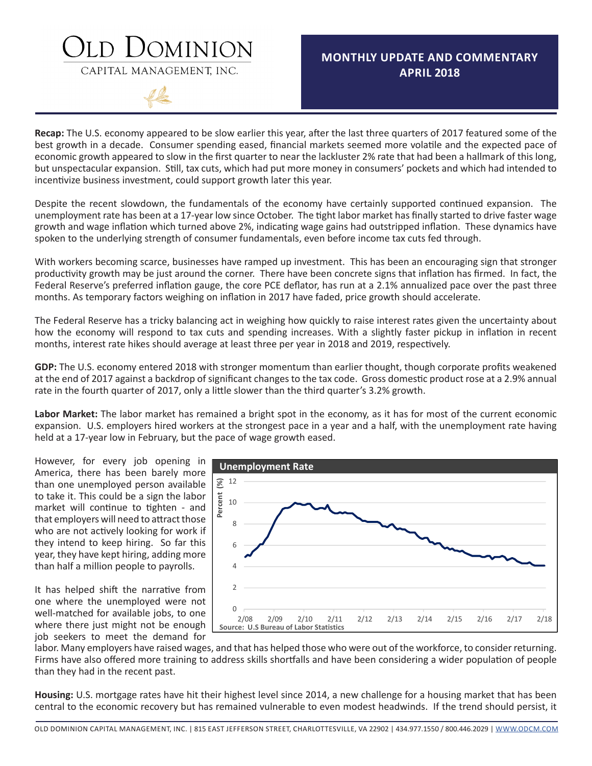### DOMINION

CAPITAL MANAGEMENT, INC.

### **MONTHLY UPDATE AND COMMENTARY APRIL 2018**

**Recap:** The U.S. economy appeared to be slow earlier this year, after the last three quarters of 2017 featured some of the best growth in a decade. Consumer spending eased, financial markets seemed more volatile and the expected pace of economic growth appeared to slow in the first quarter to near the lackluster 2% rate that had been a hallmark of this long, but unspectacular expansion. Still, tax cuts, which had put more money in consumers' pockets and which had intended to incentivize business investment, could support growth later this year.

Despite the recent slowdown, the fundamentals of the economy have certainly supported continued expansion. The unemployment rate has been at a 17-year low since October. The tight labor market has finally started to drive faster wage growth and wage inflation which turned above 2%, indicating wage gains had outstripped inflation. These dynamics have spoken to the underlying strength of consumer fundamentals, even before income tax cuts fed through.

With workers becoming scarce, businesses have ramped up investment. This has been an encouraging sign that stronger productivity growth may be just around the corner. There have been concrete signs that inflation has firmed. In fact, the Federal Reserve's preferred inflation gauge, the core PCE deflator, has run at a 2.1% annualized pace over the past three months. As temporary factors weighing on inflation in 2017 have faded, price growth should accelerate.

The Federal Reserve has a tricky balancing act in weighing how quickly to raise interest rates given the uncertainty about how the economy will respond to tax cuts and spending increases. With a slightly faster pickup in inflation in recent months, interest rate hikes should average at least three per year in 2018 and 2019, respectively.

**GDP:** The U.S. economy entered 2018 with stronger momentum than earlier thought, though corporate profits weakened at the end of 2017 against a backdrop of significant changes to the tax code. Gross domestic product rose at a 2.9% annual rate in the fourth quarter of 2017, only a little slower than the third quarter's 3.2% growth.

**Labor Market:** The labor market has remained a bright spot in the economy, as it has for most of the current economic expansion. U.S. employers hired workers at the strongest pace in a year and a half, with the unemployment rate having held at a 17-year low in February, but the pace of wage growth eased.

However, for every job opening in America, there has been barely more than one unemployed person available to take it. This could be a sign the labor market will continue to tighten - and that employers will need to attract those who are not actively looking for work if they intend to keep hiring. So far this year, they have kept hiring, adding more than half a million people to payrolls.

It has helped shift the narrative from one where the unemployed were not well-matched for available jobs, to one where there just might not be enough job seekers to meet the demand for



labor. Many employers have raised wages, and that has helped those who were out of the workforce, to consider returning. Firms have also offered more training to address skills shortfalls and have been considering a wider population of people than they had in the recent past.

**Housing:** U.S. mortgage rates have hit their highest level since 2014, a new challenge for a housing market that has been central to the economic recovery but has remained vulnerable to even modest headwinds. If the trend should persist, it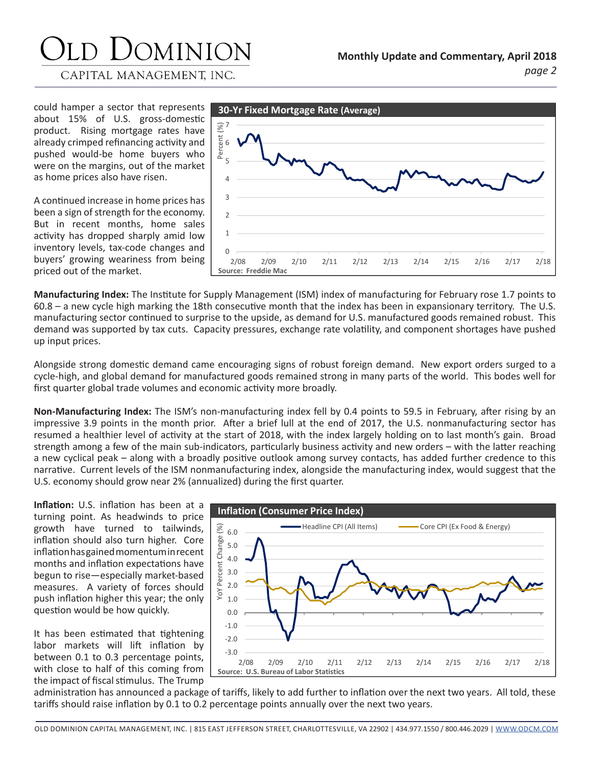CAPITAL MANAGEMENT, INC.

could hamper a sector that represents about 15% of U.S. gross-domestic product. Rising mortgage rates have already crimped refinancing activity and pushed would-be home buyers who were on the margins, out of the market as home prices also have risen.

A continued increase in home prices has been a sign of strength for the economy. But in recent months, home sales activity has dropped sharply amid low inventory levels, tax-code changes and buyers' growing weariness from being priced out of the market.



**Manufacturing Index:** The Institute for Supply Management (ISM) index of manufacturing for February rose 1.7 points to 60.8 – a new cycle high marking the 18th consecutive month that the index has been in expansionary territory. The U.S. manufacturing sector continued to surprise to the upside, as demand for U.S. manufactured goods remained robust. This demand was supported by tax cuts. Capacity pressures, exchange rate volatility, and component shortages have pushed up input prices.

Alongside strong domestic demand came encouraging signs of robust foreign demand. New export orders surged to a cycle-high, and global demand for manufactured goods remained strong in many parts of the world. This bodes well for first quarter global trade volumes and economic activity more broadly.

**Non-Manufacturing Index:** The ISM's non-manufacturing index fell by 0.4 points to 59.5 in February, after rising by an impressive 3.9 points in the month prior. After a brief lull at the end of 2017, the U.S. nonmanufacturing sector has resumed a healthier level of activity at the start of 2018, with the index largely holding on to last month's gain. Broad strength among a few of the main sub-indicators, particularly business activity and new orders – with the latter reaching a new cyclical peak – along with a broadly positive outlook among survey contacts, has added further credence to this narrative. Current levels of the ISM nonmanufacturing index, alongside the manufacturing index, would suggest that the U.S. economy should grow near 2% (annualized) during the first quarter.

**Inflation:** U.S. inflation has been at a turning point. As headwinds to price growth have turned to tailwinds, inflation should also turn higher. Core inflation has gained momentum in recent months and inflation expectations have begun to rise—especially market-based measures. A variety of forces should push inflation higher this year; the only question would be how quickly.

It has been estimated that tightening labor markets will lift inflation by between 0.1 to 0.3 percentage points, with close to half of this coming from the impact of fiscal stimulus. The Trump



administration has announced a package of tariffs, likely to add further to inflation over the next two years. All told, these tariffs should raise inflation by 0.1 to 0.2 percentage points annually over the next two years.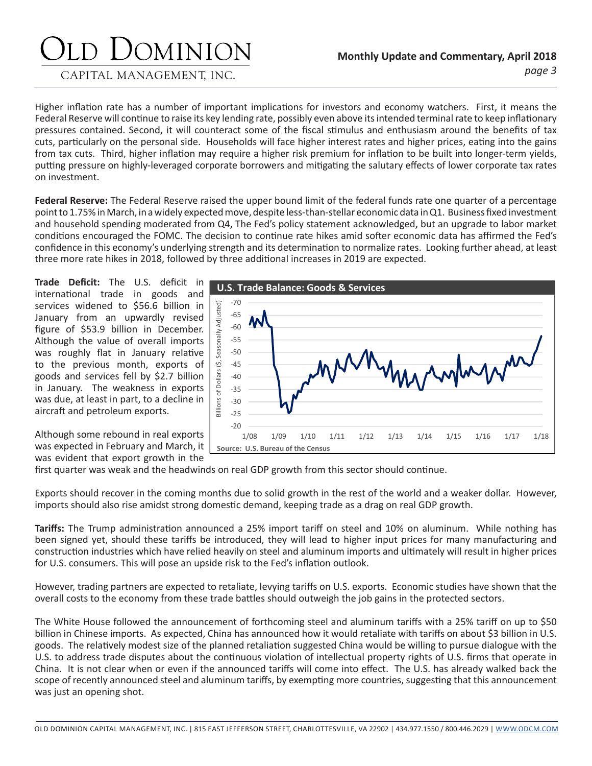CAPITAL MANAGEMENT, INC.

Higher inflation rate has a number of important implications for investors and economy watchers. First, it means the Federal Reserve will continue to raise its key lending rate, possibly even above its intended terminal rate to keep inflationary pressures contained. Second, it will counteract some of the fiscal stimulus and enthusiasm around the benefits of tax cuts, particularly on the personal side. Households will face higher interest rates and higher prices, eating into the gains from tax cuts. Third, higher inflation may require a higher risk premium for inflation to be built into longer-term yields, putting pressure on highly-leveraged corporate borrowers and mitigating the salutary effects of lower corporate tax rates on investment.

**Federal Reserve:** The Federal Reserve raised the upper bound limit of the federal funds rate one quarter of a percentage point to 1.75% in March, in a widely expected move, despite less-than-stellar economic data in Q1. Business fixed investment and household spending moderated from Q4, The Fed's policy statement acknowledged, but an upgrade to labor market conditions encouraged the FOMC. The decision to continue rate hikes amid softer economic data has affirmed the Fed's confidence in this economy's underlying strength and its determination to normalize rates. Looking further ahead, at least three more rate hikes in 2018, followed by three additional increases in 2019 are expected.

**Trade Deficit:** The U.S. deficit in international trade in goods and services widened to \$56.6 billion in January from an upwardly revised figure of \$53.9 billion in December. Although the value of overall imports was roughly flat in January relative to the previous month, exports of goods and services fell by \$2.7 billion in January. The weakness in exports was due, at least in part, to a decline in aircraft and petroleum exports.



Although some rebound in real exports was expected in February and March, it was evident that export growth in the

first quarter was weak and the headwinds on real GDP growth from this sector should continue.

Exports should recover in the coming months due to solid growth in the rest of the world and a weaker dollar. However, imports should also rise amidst strong domestic demand, keeping trade as a drag on real GDP growth.

**Tariffs:** The Trump administration announced a 25% import tariff on steel and 10% on aluminum. While nothing has been signed yet, should these tariffs be introduced, they will lead to higher input prices for many manufacturing and construction industries which have relied heavily on steel and aluminum imports and ultimately will result in higher prices for U.S. consumers. This will pose an upside risk to the Fed's inflation outlook.

However, trading partners are expected to retaliate, levying tariffs on U.S. exports. Economic studies have shown that the overall costs to the economy from these trade battles should outweigh the job gains in the protected sectors.

The White House followed the announcement of forthcoming steel and aluminum tariffs with a 25% tariff on up to \$50 billion in Chinese imports. As expected, China has announced how it would retaliate with tariffs on about \$3 billion in U.S. goods. The relatively modest size of the planned retaliation suggested China would be willing to pursue dialogue with the U.S. to address trade disputes about the continuous violation of intellectual property rights of U.S. firms that operate in China. It is not clear when or even if the announced tariffs will come into effect. The U.S. has already walked back the scope of recently announced steel and aluminum tariffs, by exempting more countries, suggesting that this announcement was just an opening shot.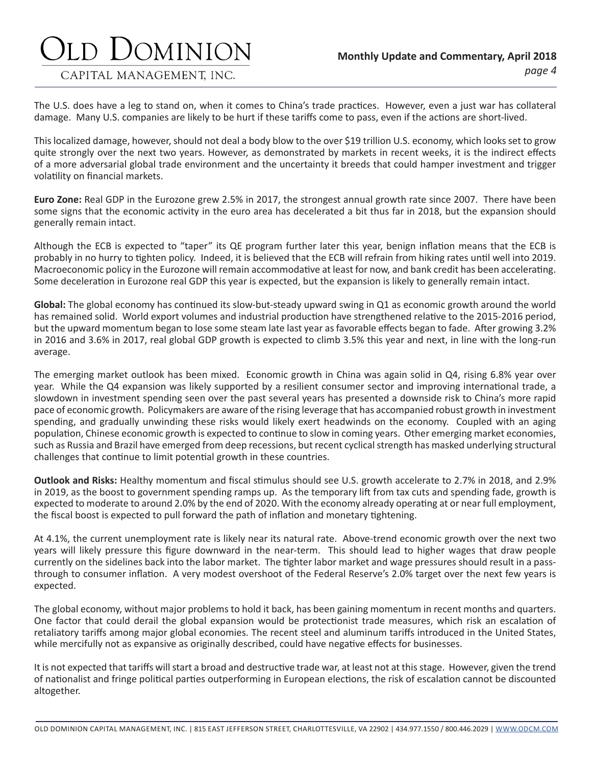CAPITAL MANAGEMENT, INC.

The U.S. does have a leg to stand on, when it comes to China's trade practices. However, even a just war has collateral damage. Many U.S. companies are likely to be hurt if these tariffs come to pass, even if the actions are short-lived.

This localized damage, however, should not deal a body blow to the over \$19 trillion U.S. economy, which looks set to grow quite strongly over the next two years. However, as demonstrated by markets in recent weeks, it is the indirect effects of a more adversarial global trade environment and the uncertainty it breeds that could hamper investment and trigger volatility on financial markets.

**Euro Zone:** Real GDP in the Eurozone grew 2.5% in 2017, the strongest annual growth rate since 2007. There have been some signs that the economic activity in the euro area has decelerated a bit thus far in 2018, but the expansion should generally remain intact.

Although the ECB is expected to "taper" its QE program further later this year, benign inflation means that the ECB is probably in no hurry to tighten policy. Indeed, it is believed that the ECB will refrain from hiking rates until well into 2019. Macroeconomic policy in the Eurozone will remain accommodative at least for now, and bank credit has been accelerating. Some deceleration in Eurozone real GDP this year is expected, but the expansion is likely to generally remain intact.

**Global:** The global economy has continued its slow-but-steady upward swing in Q1 as economic growth around the world has remained solid. World export volumes and industrial production have strengthened relative to the 2015-2016 period, but the upward momentum began to lose some steam late last year as favorable effects began to fade. After growing 3.2% in 2016 and 3.6% in 2017, real global GDP growth is expected to climb 3.5% this year and next, in line with the long-run average.

The emerging market outlook has been mixed. Economic growth in China was again solid in Q4, rising 6.8% year over year. While the Q4 expansion was likely supported by a resilient consumer sector and improving international trade, a slowdown in investment spending seen over the past several years has presented a downside risk to China's more rapid pace of economic growth. Policymakers are aware of the rising leverage that has accompanied robust growth in investment spending, and gradually unwinding these risks would likely exert headwinds on the economy. Coupled with an aging population, Chinese economic growth is expected to continue to slow in coming years. Other emerging market economies, such as Russia and Brazil have emerged from deep recessions, but recent cyclical strength has masked underlying structural challenges that continue to limit potential growth in these countries.

**Outlook and Risks:** Healthy momentum and fiscal stimulus should see U.S. growth accelerate to 2.7% in 2018, and 2.9% in 2019, as the boost to government spending ramps up. As the temporary lift from tax cuts and spending fade, growth is expected to moderate to around 2.0% by the end of 2020. With the economy already operating at or near full employment, the fiscal boost is expected to pull forward the path of inflation and monetary tightening.

At 4.1%, the current unemployment rate is likely near its natural rate. Above-trend economic growth over the next two years will likely pressure this figure downward in the near-term. This should lead to higher wages that draw people currently on the sidelines back into the labor market. The tighter labor market and wage pressures should result in a passthrough to consumer inflation. A very modest overshoot of the Federal Reserve's 2.0% target over the next few years is expected.

The global economy, without major problems to hold it back, has been gaining momentum in recent months and quarters. One factor that could derail the global expansion would be protectionist trade measures, which risk an escalation of retaliatory tariffs among major global economies. The recent steel and aluminum tariffs introduced in the United States, while mercifully not as expansive as originally described, could have negative effects for businesses.

It is not expected that tariffs will start a broad and destructive trade war, at least not at this stage. However, given the trend of nationalist and fringe political parties outperforming in European elections, the risk of escalation cannot be discounted altogether.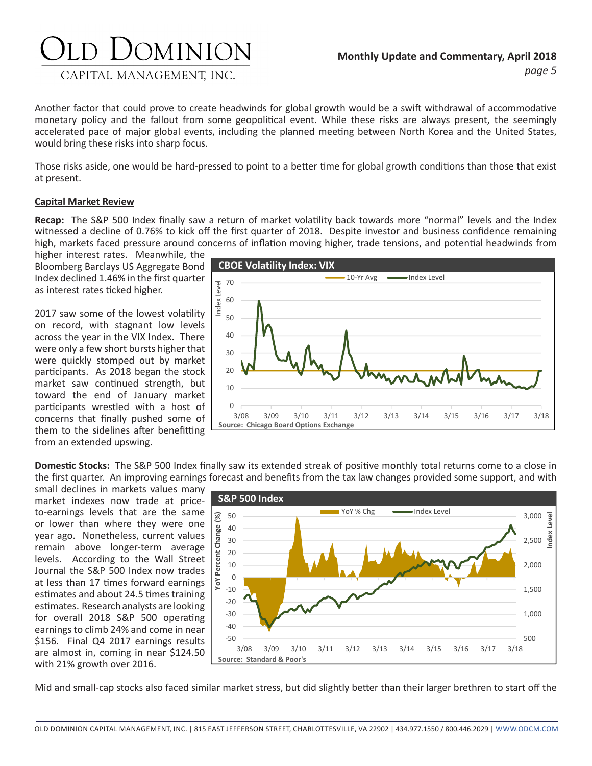### JOMINION CAPITAL MANAGEMENT, INC.

Another factor that could prove to create headwinds for global growth would be a swift withdrawal of accommodative monetary policy and the fallout from some geopolitical event. While these risks are always present, the seemingly accelerated pace of major global events, including the planned meeting between North Korea and the United States, would bring these risks into sharp focus.

Those risks aside, one would be hard-pressed to point to a better time for global growth conditions than those that exist at present.

#### **Capital Market Review**

**Recap:** The S&P 500 Index finally saw a return of market volatility back towards more "normal" levels and the Index witnessed a decline of 0.76% to kick off the first quarter of 2018. Despite investor and business confidence remaining high, markets faced pressure around concerns of inflation moving higher, trade tensions, and potential headwinds from

higher interest rates. Meanwhile, the Bloomberg Barclays US Aggregate Bond Index declined 1.46% in the first quarter as interest rates ticked higher.

2017 saw some of the lowest volatility on record, with stagnant low levels across the year in the VIX Index. There were only a few short bursts higher that were quickly stomped out by market participants. As 2018 began the stock market saw continued strength, but toward the end of January market participants wrestled with a host of concerns that finally pushed some of them to the sidelines after benefitting from an extended upswing.



**Domestic Stocks:** The S&P 500 Index finally saw its extended streak of positive monthly total returns come to a close in the first quarter. An improving earnings forecast and benefits from the tax law changes provided some support, and with

small declines in markets values many market indexes now trade at priceto-earnings levels that are the same or lower than where they were one year ago. Nonetheless, current values remain above longer-term average levels. According to the Wall Street Journal the S&P 500 Index now trades at less than 17 times forward earnings estimates and about 24.5 times training estimates. Research analysts are looking for overall 2018 S&P 500 operating earnings to climb 24% and come in near \$156. Final Q4 2017 earnings results are almost in, coming in near \$124.50 with 21% growth over 2016.



Mid and small-cap stocks also faced similar market stress, but did slightly better than their larger brethren to start off the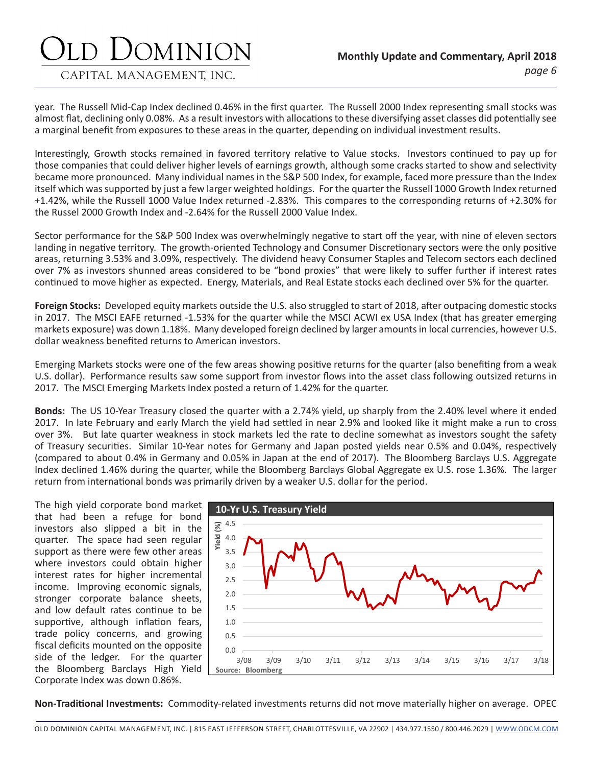#### CAPITAL MANAGEMENT, INC.

year. The Russell Mid-Cap Index declined 0.46% in the first quarter. The Russell 2000 Index representing small stocks was almost flat, declining only 0.08%. As a result investors with allocations to these diversifying asset classes did potentially see a marginal benefit from exposures to these areas in the quarter, depending on individual investment results.

Interestingly, Growth stocks remained in favored territory relative to Value stocks. Investors continued to pay up for those companies that could deliver higher levels of earnings growth, although some cracks started to show and selectivity became more pronounced. Many individual names in the S&P 500 Index, for example, faced more pressure than the Index itself which was supported by just a few larger weighted holdings. For the quarter the Russell 1000 Growth Index returned +1.42%, while the Russell 1000 Value Index returned -2.83%. This compares to the corresponding returns of +2.30% for the Russel 2000 Growth Index and -2.64% for the Russell 2000 Value Index.

Sector performance for the S&P 500 Index was overwhelmingly negative to start off the year, with nine of eleven sectors landing in negative territory. The growth-oriented Technology and Consumer Discretionary sectors were the only positive areas, returning 3.53% and 3.09%, respectively. The dividend heavy Consumer Staples and Telecom sectors each declined over 7% as investors shunned areas considered to be "bond proxies" that were likely to suffer further if interest rates continued to move higher as expected. Energy, Materials, and Real Estate stocks each declined over 5% for the quarter.

**Foreign Stocks:** Developed equity markets outside the U.S. also struggled to start of 2018, after outpacing domestic stocks in 2017. The MSCI EAFE returned -1.53% for the quarter while the MSCI ACWI ex USA Index (that has greater emerging markets exposure) was down 1.18%. Many developed foreign declined by larger amounts in local currencies, however U.S. dollar weakness benefited returns to American investors.

Emerging Markets stocks were one of the few areas showing positive returns for the quarter (also benefiting from a weak U.S. dollar). Performance results saw some support from investor flows into the asset class following outsized returns in 2017. The MSCI Emerging Markets Index posted a return of 1.42% for the quarter.

**Bonds:** The US 10-Year Treasury closed the quarter with a 2.74% yield, up sharply from the 2.40% level where it ended 2017. In late February and early March the yield had settled in near 2.9% and looked like it might make a run to cross over 3%. But late quarter weakness in stock markets led the rate to decline somewhat as investors sought the safety of Treasury securities. Similar 10-Year notes for Germany and Japan posted yields near 0.5% and 0.04%, respectively (compared to about 0.4% in Germany and 0.05% in Japan at the end of 2017). The Bloomberg Barclays U.S. Aggregate Index declined 1.46% during the quarter, while the Bloomberg Barclays Global Aggregate ex U.S. rose 1.36%. The larger return from international bonds was primarily driven by a weaker U.S. dollar for the period.

The high yield corporate bond market that had been a refuge for bond investors also slipped a bit in the quarter. The space had seen regular support as there were few other areas where investors could obtain higher interest rates for higher incremental income. Improving economic signals, stronger corporate balance sheets, and low default rates continue to be supportive, although inflation fears, trade policy concerns, and growing fiscal deficits mounted on the opposite side of the ledger. For the quarter the Bloomberg Barclays High Yield Corporate Index was down 0.86%.



**Non-Traditional Investments:** Commodity-related investments returns did not move materially higher on average. OPEC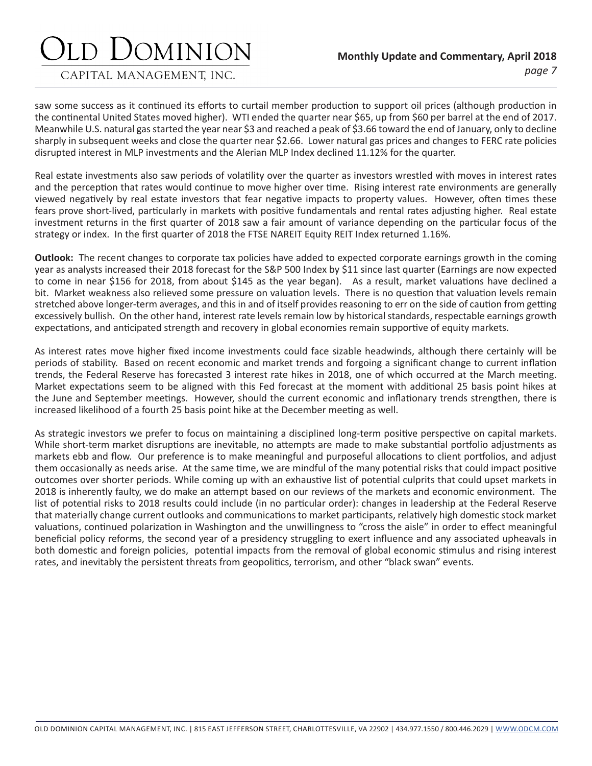#### CAPITAL MANAGEMENT, INC.

saw some success as it continued its efforts to curtail member production to support oil prices (although production in the continental United States moved higher). WTI ended the quarter near \$65, up from \$60 per barrel at the end of 2017. Meanwhile U.S. natural gas started the year near \$3 and reached a peak of \$3.66 toward the end of January, only to decline sharply in subsequent weeks and close the quarter near \$2.66. Lower natural gas prices and changes to FERC rate policies disrupted interest in MLP investments and the Alerian MLP Index declined 11.12% for the quarter.

Real estate investments also saw periods of volatility over the quarter as investors wrestled with moves in interest rates and the perception that rates would continue to move higher over time. Rising interest rate environments are generally viewed negatively by real estate investors that fear negative impacts to property values. However, often times these fears prove short-lived, particularly in markets with positive fundamentals and rental rates adjusting higher. Real estate investment returns in the first quarter of 2018 saw a fair amount of variance depending on the particular focus of the strategy or index. In the first quarter of 2018 the FTSE NAREIT Equity REIT Index returned 1.16%.

**Outlook:** The recent changes to corporate tax policies have added to expected corporate earnings growth in the coming year as analysts increased their 2018 forecast for the S&P 500 Index by \$11 since last quarter (Earnings are now expected to come in near \$156 for 2018, from about \$145 as the year began). As a result, market valuations have declined a bit. Market weakness also relieved some pressure on valuation levels. There is no question that valuation levels remain stretched above longer-term averages, and this in and of itself provides reasoning to err on the side of caution from getting excessively bullish. On the other hand, interest rate levels remain low by historical standards, respectable earnings growth expectations, and anticipated strength and recovery in global economies remain supportive of equity markets.

As interest rates move higher fixed income investments could face sizable headwinds, although there certainly will be periods of stability. Based on recent economic and market trends and forgoing a significant change to current inflation trends, the Federal Reserve has forecasted 3 interest rate hikes in 2018, one of which occurred at the March meeting. Market expectations seem to be aligned with this Fed forecast at the moment with additional 25 basis point hikes at the June and September meetings. However, should the current economic and inflationary trends strengthen, there is increased likelihood of a fourth 25 basis point hike at the December meeting as well.

As strategic investors we prefer to focus on maintaining a disciplined long-term positive perspective on capital markets. While short-term market disruptions are inevitable, no attempts are made to make substantial portfolio adjustments as markets ebb and flow. Our preference is to make meaningful and purposeful allocations to client portfolios, and adjust them occasionally as needs arise. At the same time, we are mindful of the many potential risks that could impact positive outcomes over shorter periods. While coming up with an exhaustive list of potential culprits that could upset markets in 2018 is inherently faulty, we do make an attempt based on our reviews of the markets and economic environment. The list of potential risks to 2018 results could include (in no particular order): changes in leadership at the Federal Reserve that materially change current outlooks and communications to market participants, relatively high domestic stock market valuations, continued polarization in Washington and the unwillingness to "cross the aisle" in order to effect meaningful beneficial policy reforms, the second year of a presidency struggling to exert influence and any associated upheavals in both domestic and foreign policies, potential impacts from the removal of global economic stimulus and rising interest rates, and inevitably the persistent threats from geopolitics, terrorism, and other "black swan" events.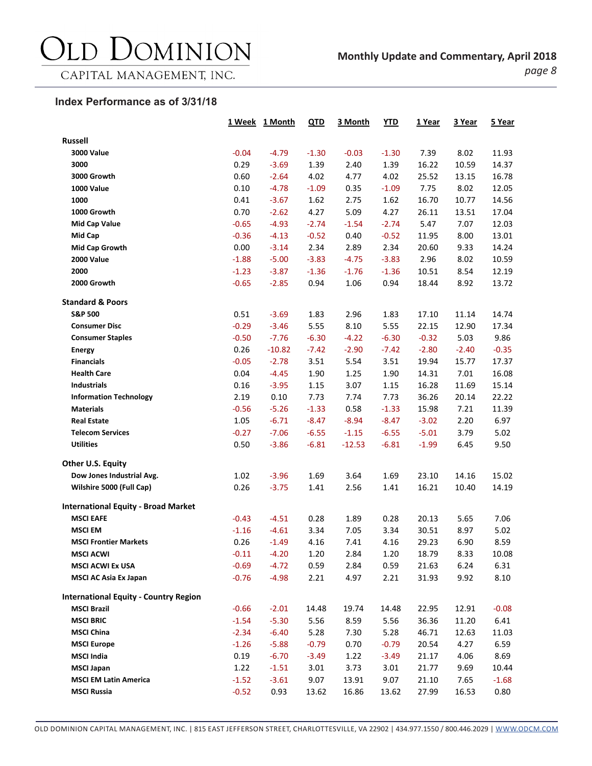### DOMINION  $\sum$

CAPITAL MANAGEMENT, INC.

#### **Index Performance as of 3/31/18**

|                                              |         | 1 Week 1 Month | QTD     | 3 Month  | <b>YTD</b> | 1 Year  | 3 Year  | 5 Year  |
|----------------------------------------------|---------|----------------|---------|----------|------------|---------|---------|---------|
| <b>Russell</b>                               |         |                |         |          |            |         |         |         |
| <b>3000 Value</b>                            | $-0.04$ | $-4.79$        | $-1.30$ | $-0.03$  | $-1.30$    | 7.39    | 8.02    | 11.93   |
| 3000                                         | 0.29    | $-3.69$        | 1.39    | 2.40     | 1.39       | 16.22   | 10.59   | 14.37   |
| 3000 Growth                                  | 0.60    | $-2.64$        | 4.02    | 4.77     | 4.02       | 25.52   | 13.15   | 16.78   |
| 1000 Value                                   | 0.10    | $-4.78$        | $-1.09$ | 0.35     | $-1.09$    | 7.75    | 8.02    | 12.05   |
| 1000                                         | 0.41    | $-3.67$        | 1.62    | 2.75     | 1.62       | 16.70   | 10.77   | 14.56   |
| 1000 Growth                                  | 0.70    | $-2.62$        | 4.27    | 5.09     | 4.27       | 26.11   | 13.51   | 17.04   |
| <b>Mid Cap Value</b>                         | $-0.65$ | $-4.93$        | $-2.74$ | $-1.54$  | $-2.74$    | 5.47    | 7.07    | 12.03   |
| Mid Cap                                      | $-0.36$ | $-4.13$        | $-0.52$ | 0.40     | $-0.52$    | 11.95   | 8.00    | 13.01   |
| <b>Mid Cap Growth</b>                        | 0.00    | $-3.14$        | 2.34    | 2.89     | 2.34       | 20.60   | 9.33    | 14.24   |
| <b>2000 Value</b>                            | $-1.88$ | $-5.00$        | $-3.83$ | $-4.75$  | $-3.83$    | 2.96    | 8.02    | 10.59   |
| 2000                                         | $-1.23$ | $-3.87$        | $-1.36$ | $-1.76$  | $-1.36$    | 10.51   | 8.54    | 12.19   |
| 2000 Growth                                  | $-0.65$ | $-2.85$        | 0.94    | 1.06     | 0.94       | 18.44   | 8.92    | 13.72   |
| <b>Standard &amp; Poors</b>                  |         |                |         |          |            |         |         |         |
| <b>S&amp;P 500</b>                           | 0.51    | $-3.69$        | 1.83    | 2.96     | 1.83       | 17.10   | 11.14   | 14.74   |
| <b>Consumer Disc</b>                         | $-0.29$ | $-3.46$        | 5.55    | 8.10     | 5.55       | 22.15   | 12.90   | 17.34   |
| <b>Consumer Staples</b>                      | $-0.50$ | $-7.76$        | $-6.30$ | $-4.22$  | $-6.30$    | $-0.32$ | 5.03    | 9.86    |
| <b>Energy</b>                                | 0.26    | $-10.82$       | $-7.42$ | $-2.90$  | $-7.42$    | $-2.80$ | $-2.40$ | $-0.35$ |
| <b>Financials</b>                            | $-0.05$ | $-2.78$        | 3.51    | 5.54     | 3.51       | 19.94   | 15.77   | 17.37   |
| <b>Health Care</b>                           | 0.04    | $-4.45$        | 1.90    | 1.25     | 1.90       | 14.31   | 7.01    | 16.08   |
| <b>Industrials</b>                           | 0.16    | $-3.95$        | 1.15    | 3.07     | 1.15       | 16.28   | 11.69   | 15.14   |
| <b>Information Technology</b>                | 2.19    | 0.10           | 7.73    | 7.74     | 7.73       | 36.26   | 20.14   | 22.22   |
| <b>Materials</b>                             | $-0.56$ | $-5.26$        | $-1.33$ | 0.58     | $-1.33$    | 15.98   | 7.21    | 11.39   |
| <b>Real Estate</b>                           | 1.05    | $-6.71$        | $-8.47$ | $-8.94$  | $-8.47$    | $-3.02$ | 2.20    | 6.97    |
| <b>Telecom Services</b>                      | $-0.27$ | $-7.06$        | $-6.55$ | $-1.15$  | $-6.55$    | $-5.01$ | 3.79    | 5.02    |
| <b>Utilities</b>                             | 0.50    | $-3.86$        | $-6.81$ | $-12.53$ | $-6.81$    | $-1.99$ | 6.45    | 9.50    |
| Other U.S. Equity                            |         |                |         |          |            |         |         |         |
| Dow Jones Industrial Avg.                    | 1.02    | $-3.96$        | 1.69    | 3.64     | 1.69       | 23.10   | 14.16   | 15.02   |
| Wilshire 5000 (Full Cap)                     | 0.26    | $-3.75$        | 1.41    | 2.56     | 1.41       | 16.21   | 10.40   | 14.19   |
| <b>International Equity - Broad Market</b>   |         |                |         |          |            |         |         |         |
| <b>MSCI EAFE</b>                             | $-0.43$ | $-4.51$        | 0.28    | 1.89     | 0.28       | 20.13   | 5.65    | 7.06    |
| <b>MSCI EM</b>                               | $-1.16$ | $-4.61$        | 3.34    | 7.05     | 3.34       | 30.51   | 8.97    | 5.02    |
| <b>MSCI Frontier Markets</b>                 | 0.26    | $-1.49$        | 4.16    | 7.41     | 4.16       | 29.23   | 6.90    | 8.59    |
| <b>MSCI ACWI</b>                             | $-0.11$ | $-4.20$        | 1.20    | 2.84     | 1.20       | 18.79   | 8.33    | 10.08   |
| <b>MSCI ACWI Ex USA</b>                      | $-0.69$ | $-4.72$        | 0.59    | 2.84     | 0.59       | 21.63   | 6.24    | 6.31    |
| <b>MSCI AC Asia Ex Japan</b>                 | $-0.76$ | $-4.98$        | 2.21    | 4.97     | 2.21       | 31.93   | 9.92    | 8.10    |
| <b>International Equity - Country Region</b> |         |                |         |          |            |         |         |         |
| <b>MSCI Brazil</b>                           | $-0.66$ | $-2.01$        | 14.48   | 19.74    | 14.48      | 22.95   | 12.91   | $-0.08$ |
| <b>MSCI BRIC</b>                             | $-1.54$ | $-5.30$        | 5.56    | 8.59     | 5.56       | 36.36   | 11.20   | 6.41    |
| <b>MSCI China</b>                            | $-2.34$ | $-6.40$        | 5.28    | 7.30     | 5.28       | 46.71   | 12.63   | 11.03   |
| <b>MSCI Europe</b>                           | $-1.26$ | $-5.88$        | $-0.79$ | 0.70     | $-0.79$    | 20.54   | 4.27    | 6.59    |
| <b>MSCI India</b>                            | 0.19    | $-6.70$        | $-3.49$ | 1.22     | $-3.49$    | 21.17   | 4.06    | 8.69    |
| <b>MSCI Japan</b>                            | 1.22    | $-1.51$        | 3.01    | 3.73     | 3.01       | 21.77   | 9.69    | 10.44   |
| <b>MSCI EM Latin America</b>                 | $-1.52$ | $-3.61$        | 9.07    | 13.91    | 9.07       | 21.10   | 7.65    | $-1.68$ |
| <b>MSCI Russia</b>                           | $-0.52$ | 0.93           | 13.62   | 16.86    | 13.62      | 27.99   | 16.53   | 0.80    |